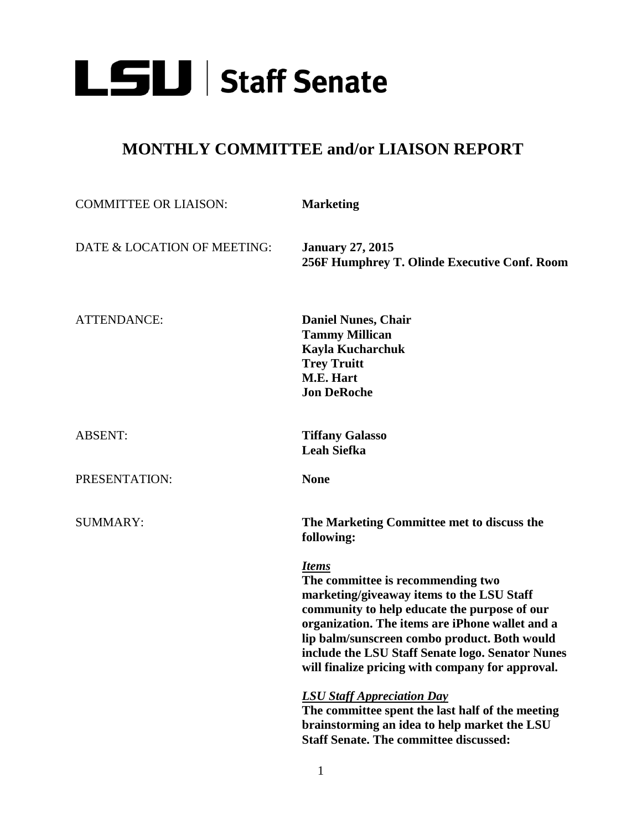

## **MONTHLY COMMITTEE and/or LIAISON REPORT**

| <b>COMMITTEE OR LIAISON:</b> | <b>Marketing</b>                                                                                                                                                                                                                                                                                                                                          |
|------------------------------|-----------------------------------------------------------------------------------------------------------------------------------------------------------------------------------------------------------------------------------------------------------------------------------------------------------------------------------------------------------|
| DATE & LOCATION OF MEETING:  | <b>January 27, 2015</b><br>256F Humphrey T. Olinde Executive Conf. Room                                                                                                                                                                                                                                                                                   |
| <b>ATTENDANCE:</b>           | <b>Daniel Nunes, Chair</b><br><b>Tammy Millican</b><br>Kayla Kucharchuk<br><b>Trey Truitt</b><br>M.E. Hart<br><b>Jon DeRoche</b>                                                                                                                                                                                                                          |
| <b>ABSENT:</b>               | <b>Tiffany Galasso</b><br><b>Leah Siefka</b>                                                                                                                                                                                                                                                                                                              |
| PRESENTATION:                | <b>None</b>                                                                                                                                                                                                                                                                                                                                               |
| <b>SUMMARY:</b>              | The Marketing Committee met to discuss the<br>following:                                                                                                                                                                                                                                                                                                  |
|                              | <b>Items</b><br>The committee is recommending two<br>marketing/giveaway items to the LSU Staff<br>community to help educate the purpose of our<br>organization. The items are iPhone wallet and a<br>lip balm/sunscreen combo product. Both would<br>include the LSU Staff Senate logo. Senator Nunes<br>will finalize pricing with company for approval. |
|                              | <b>LSU Staff Appreciation Day</b><br>The committee spent the last half of the meeting<br>brainstorming an idea to help market the LSU<br><b>Staff Senate. The committee discussed:</b>                                                                                                                                                                    |